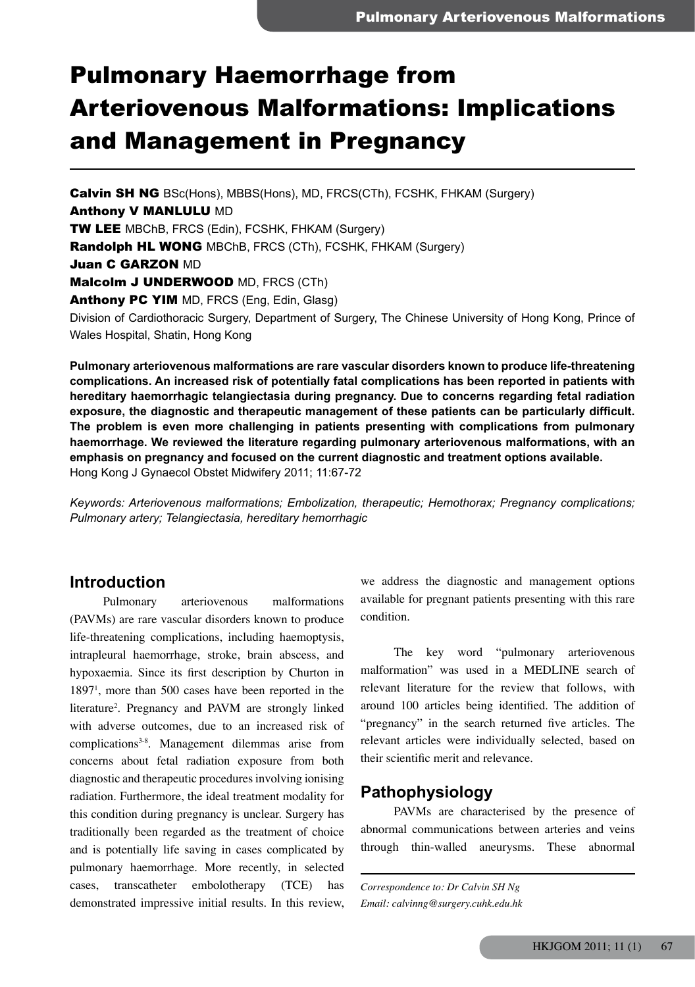# Pulmonary Haemorrhage from Arteriovenous Malformations: Implications and Management in Pregnancy

Calvin SH NG BSc(Hons), MBBS(Hons), MD, FRCS(CTh), FCSHK, FHKAM (Surgery) Anthony V MANLULU MD TW LEE MBChB, FRCS (Edin), FCSHK, FHKAM (Surgery) Randolph HL WONG MBChB, FRCS (CTh), FCSHK, FHKAM (Surgery) **Juan C GARZON MD** Malcolm J UNDERWOOD MD, FRCS (CTh) Anthony PC YIM MD, FRCS (Eng, Edin, Glasg) Division of Cardiothoracic Surgery, Department of Surgery, The Chinese University of Hong Kong, Prince of Wales Hospital, Shatin, Hong Kong

**Pulmonary arteriovenous malformations are rare vascular disorders known to produce life-threatening complications. An increased risk of potentially fatal complications has been reported in patients with hereditary haemorrhagic telangiectasia during pregnancy. Due to concerns regarding fetal radiation exposure, the diagnostic and therapeutic management of these patients can be particularly difficult. The problem is even more challenging in patients presenting with complications from pulmonary haemorrhage. We reviewed the literature regarding pulmonary arteriovenous malformations, with an emphasis on pregnancy and focused on the current diagnostic and treatment options available.** Hong Kong J Gynaecol Obstet Midwifery 2011; 11:67-72

*Keywords: Arteriovenous malformations; Embolization, therapeutic; Hemothorax; Pregnancy complications; Pulmonary artery; Telangiectasia, hereditary hemorrhagic*

### **Introduction**

Pulmonary arteriovenous malformations (PAVMs) are rare vascular disorders known to produce life-threatening complications, including haemoptysis, intrapleural haemorrhage, stroke, brain abscess, and hypoxaemia. Since its first description by Churton in 18971 , more than 500 cases have been reported in the literature2 . Pregnancy and PAVM are strongly linked with adverse outcomes, due to an increased risk of complications<sup>3-8</sup>. Management dilemmas arise from concerns about fetal radiation exposure from both diagnostic and therapeutic procedures involving ionising radiation. Furthermore, the ideal treatment modality for this condition during pregnancy is unclear. Surgery has traditionally been regarded as the treatment of choice and is potentially life saving in cases complicated by pulmonary haemorrhage. More recently, in selected cases, transcatheter embolotherapy (TCE) has demonstrated impressive initial results. In this review,

we address the diagnostic and management options available for pregnant patients presenting with this rare condition.

The key word "pulmonary arteriovenous malformation" was used in a MEDLINE search of relevant literature for the review that follows, with around 100 articles being identified. The addition of "pregnancy" in the search returned five articles. The relevant articles were individually selected, based on their scientific merit and relevance.

## **Pathophysiology**

PAVMs are characterised by the presence of abnormal communications between arteries and veins through thin-walled aneurysms. These abnormal

*Correspondence to: Dr Calvin SH Ng Email: calvinng@surgery.cuhk.edu.hk*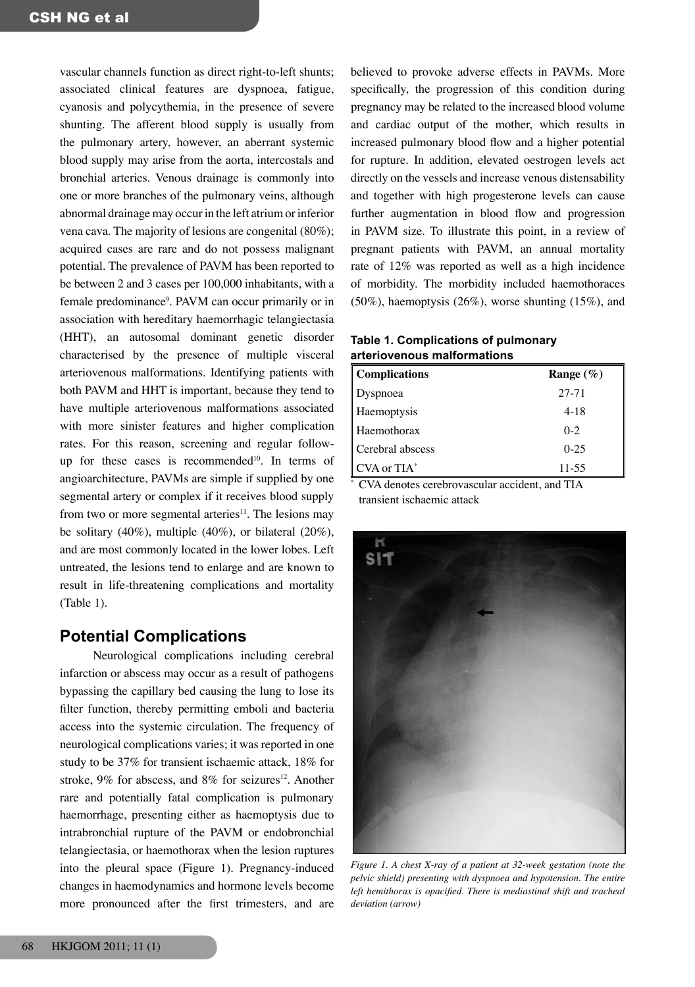vascular channels function as direct right-to-left shunts; associated clinical features are dyspnoea, fatigue, cyanosis and polycythemia, in the presence of severe shunting. The afferent blood supply is usually from the pulmonary artery, however, an aberrant systemic blood supply may arise from the aorta, intercostals and bronchial arteries. Venous drainage is commonly into one or more branches of the pulmonary veins, although abnormal drainage may occur in the left atrium or inferior vena cava. The majority of lesions are congenital (80%); acquired cases are rare and do not possess malignant potential. The prevalence of PAVM has been reported to be between 2 and 3 cases per 100,000 inhabitants, with a female predominance<sup>9</sup>. PAVM can occur primarily or in association with hereditary haemorrhagic telangiectasia (HHT), an autosomal dominant genetic disorder characterised by the presence of multiple visceral arteriovenous malformations. Identifying patients with both PAVM and HHT is important, because they tend to have multiple arteriovenous malformations associated with more sinister features and higher complication rates. For this reason, screening and regular followup for these cases is recommended<sup>10</sup>. In terms of angioarchitecture, PAVMs are simple if supplied by one segmental artery or complex if it receives blood supply from two or more segmental arteries $11$ . The lesions may be solitary  $(40\%)$ , multiple  $(40\%)$ , or bilateral  $(20\%)$ , and are most commonly located in the lower lobes. Left untreated, the lesions tend to enlarge and are known to result in life-threatening complications and mortality (Table 1).

# **Potential Complications**

Neurological complications including cerebral infarction or abscess may occur as a result of pathogens bypassing the capillary bed causing the lung to lose its filter function, thereby permitting emboli and bacteria access into the systemic circulation. The frequency of neurological complications varies; it was reported in one study to be 37% for transient ischaemic attack, 18% for stroke,  $9\%$  for abscess, and  $8\%$  for seizures<sup>12</sup>. Another rare and potentially fatal complication is pulmonary haemorrhage, presenting either as haemoptysis due to intrabronchial rupture of the PAVM or endobronchial telangiectasia, or haemothorax when the lesion ruptures into the pleural space (Figure 1). Pregnancy-induced changes in haemodynamics and hormone levels become more pronounced after the first trimesters, and are believed to provoke adverse effects in PAVMs. More specifically, the progression of this condition during pregnancy may be related to the increased blood volume and cardiac output of the mother, which results in increased pulmonary blood flow and a higher potential for rupture. In addition, elevated oestrogen levels act directly on the vessels and increase venous distensability and together with high progesterone levels can cause further augmentation in blood flow and progression in PAVM size. To illustrate this point, in a review of pregnant patients with PAVM, an annual mortality rate of 12% was reported as well as a high incidence of morbidity. The morbidity included haemothoraces (50%), haemoptysis (26%), worse shunting (15%), and

#### **Table 1. Complications of pulmonary arteriovenous malformations**

| <b>Complications</b> | Range $(\%)$ |
|----------------------|--------------|
| Dyspnoea             | 27-71        |
| Haemoptysis          | $4 - 18$     |
| Haemothorax          | $0 - 2$      |
| Cerebral abscess     | $0 - 25$     |
| $CVA$ or $TIA^*$     | $11 - 55$    |

 CVA denotes cerebrovascular accident, and TIA transient ischaemic attack

\*



*Figure 1. A chest X-ray of a patient at 32-week gestation (note the pelvic shield) presenting with dyspnoea and hypotension. The entire left hemithorax is opacified. There is mediastinal shift and tracheal deviation (arrow)*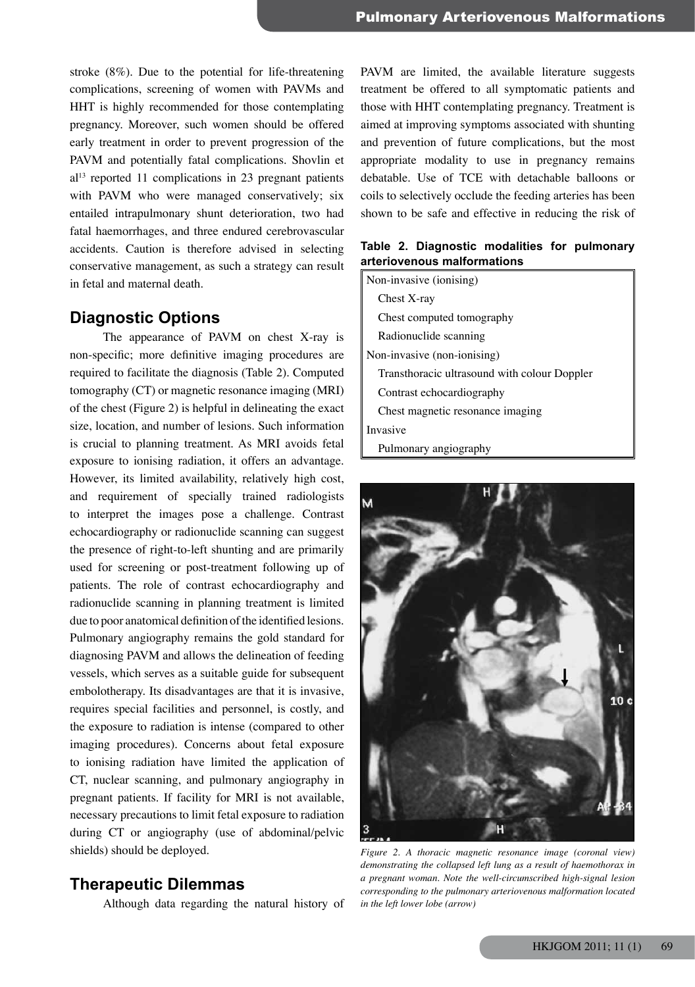stroke (8%). Due to the potential for life-threatening complications, screening of women with PAVMs and HHT is highly recommended for those contemplating pregnancy. Moreover, such women should be offered early treatment in order to prevent progression of the PAVM and potentially fatal complications. Shovlin et  $al<sup>13</sup>$  reported 11 complications in 23 pregnant patients with PAVM who were managed conservatively; six entailed intrapulmonary shunt deterioration, two had fatal haemorrhages, and three endured cerebrovascular accidents. Caution is therefore advised in selecting conservative management, as such a strategy can result in fetal and maternal death.

# **Diagnostic Options**

The appearance of PAVM on chest X-ray is non-specific; more definitive imaging procedures are required to facilitate the diagnosis (Table 2). Computed tomography (CT) or magnetic resonance imaging (MRI) of the chest (Figure 2) is helpful in delineating the exact size, location, and number of lesions. Such information is crucial to planning treatment. As MRI avoids fetal exposure to ionising radiation, it offers an advantage. However, its limited availability, relatively high cost, and requirement of specially trained radiologists to interpret the images pose a challenge. Contrast echocardiography or radionuclide scanning can suggest the presence of right-to-left shunting and are primarily used for screening or post-treatment following up of patients. The role of contrast echocardiography and radionuclide scanning in planning treatment is limited due to poor anatomical definition of the identified lesions. Pulmonary angiography remains the gold standard for diagnosing PAVM and allows the delineation of feeding vessels, which serves as a suitable guide for subsequent embolotherapy. Its disadvantages are that it is invasive, requires special facilities and personnel, is costly, and the exposure to radiation is intense (compared to other imaging procedures). Concerns about fetal exposure to ionising radiation have limited the application of CT, nuclear scanning, and pulmonary angiography in pregnant patients. If facility for MRI is not available, necessary precautions to limit fetal exposure to radiation during CT or angiography (use of abdominal/pelvic shields) should be deployed.

### **Therapeutic Dilemmas**

Although data regarding the natural history of

PAVM are limited, the available literature suggests treatment be offered to all symptomatic patients and those with HHT contemplating pregnancy. Treatment is aimed at improving symptoms associated with shunting and prevention of future complications, but the most appropriate modality to use in pregnancy remains debatable. Use of TCE with detachable balloons or coils to selectively occlude the feeding arteries has been shown to be safe and effective in reducing the risk of

#### **Table 2. Diagnostic modalities for pulmonary arteriovenous malformations**

Non-invasive (ionising) Chest X-ray Chest computed tomography Radionuclide scanning Non-invasive (non-ionising) Transthoracic ultrasound with colour Doppler Contrast echocardiography Chest magnetic resonance imaging Invasive Pulmonary angiography



*Figure 2. A thoracic magnetic resonance image (coronal view) demonstrating the collapsed left lung as a result of haemothorax in a pregnant woman. Note the well-circumscribed high-signal lesion corresponding to the pulmonary arteriovenous malformation located in the left lower lobe (arrow)*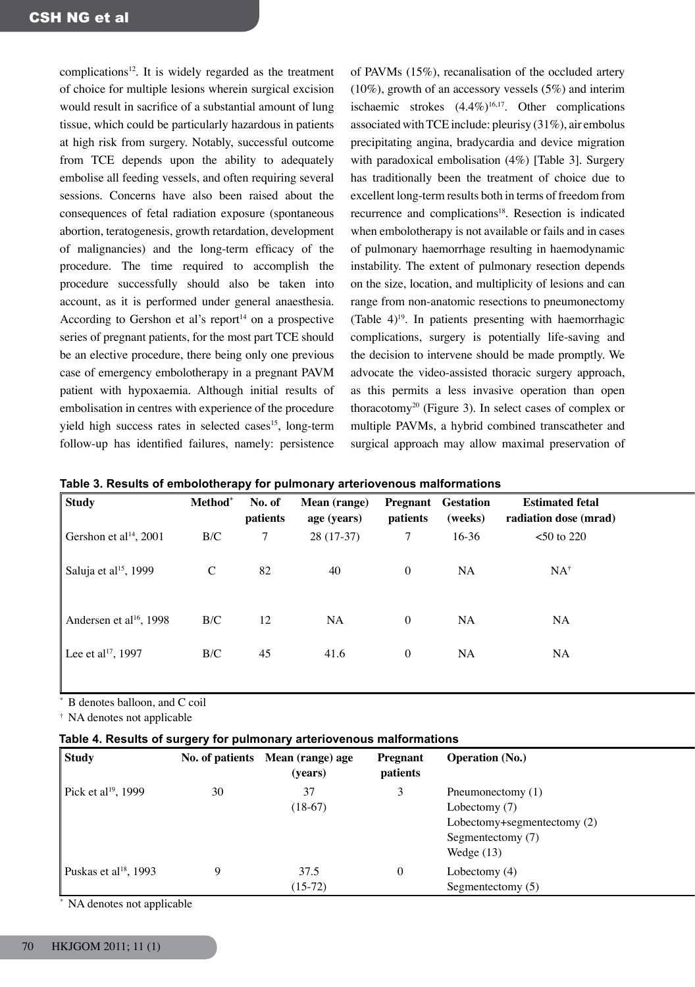complications<sup>12</sup>. It is widely regarded as the treatment of choice for multiple lesions wherein surgical excision would result in sacrifice of a substantial amount of lung tissue, which could be particularly hazardous in patients at high risk from surgery. Notably, successful outcome from TCE depends upon the ability to adequately embolise all feeding vessels, and often requiring several sessions. Concerns have also been raised about the consequences of fetal radiation exposure (spontaneous abortion, teratogenesis, growth retardation, development of malignancies) and the long-term efficacy of the procedure. The time required to accomplish the procedure successfully should also be taken into account, as it is performed under general anaesthesia. According to Gershon et al's report<sup>14</sup> on a prospective series of pregnant patients, for the most part TCE should be an elective procedure, there being only one previous case of emergency embolotherapy in a pregnant PAVM patient with hypoxaemia. Although initial results of embolisation in centres with experience of the procedure yield high success rates in selected cases<sup>15</sup>, long-term follow-up has identified failures, namely: persistence

of PAVMs (15%), recanalisation of the occluded artery  $(10\%)$ , growth of an accessory vessels  $(5\%)$  and interim ischaemic strokes  $(4.4\%)^{16,17}$ . Other complications associated with TCE include: pleurisy  $(31\%)$ , air embolus precipitating angina, bradycardia and device migration with paradoxical embolisation (4%) [Table 3]. Surgery has traditionally been the treatment of choice due to excellent long-term results both in terms of freedom from recurrence and complications<sup>18</sup>. Resection is indicated when embolotherapy is not available or fails and in cases of pulmonary haemorrhage resulting in haemodynamic instability. The extent of pulmonary resection depends on the size, location, and multiplicity of lesions and can range from non-anatomic resections to pneumonectomy (Table  $4$ )<sup>19</sup>. In patients presenting with haemorrhagic complications, surgery is potentially life-saving and the decision to intervene should be made promptly. We advocate the video-assisted thoracic surgery approach, as this permits a less invasive operation than open thoracotomy<sup>20</sup> (Figure 3). In select cases of complex or multiple PAVMs, a hybrid combined transcatheter and surgical approach may allow maximal preservation of

| Study                               | Method <sup>*</sup> | No. of<br>patients | <b>Mean</b> (range)<br>age (years) | patients       | <b>Pregnant</b> Gestation<br>(weeks) | <b>Estimated fetal</b><br>radiation dose (mrad) |  |
|-------------------------------------|---------------------|--------------------|------------------------------------|----------------|--------------------------------------|-------------------------------------------------|--|
| Gershon et al <sup>14</sup> , 2001  | $\rm B/C$           | $\mathcal{I}$      | $28(17-37)$                        |                | $16-36$                              | $<$ 50 to 220                                   |  |
| Saluja et al <sup>15</sup> , 1999   | $\mathcal{C}$       | 82                 | 40                                 | $\overline{0}$ | <b>NA</b>                            | $NA^{\dagger}$                                  |  |
| Andersen et al <sup>16</sup> , 1998 | B/C                 | 12                 | <b>NA</b>                          | $\mathbf{0}$   | <b>NA</b>                            | <b>NA</b>                                       |  |
| Lee et al <sup>17</sup> , 1997      | $\rm B/C$           | 45                 | 41.6                               | $\overline{0}$ | <b>NA</b>                            | <b>NA</b>                                       |  |

**Table 3. Results of embolotherapy for pulmonary arteriovenous malformations**

\* B denotes balloon, and C coil

† NA denotes not applicable

| Table 4. Results of surgery for pulmonary arteriovenous malformations |  |  |
|-----------------------------------------------------------------------|--|--|
|-----------------------------------------------------------------------|--|--|

| <b>Study</b>                      | No. of patients | Mean (range) age<br>(years) | Pregnant<br>patients | <b>Operation (No.)</b>                                                                                 |
|-----------------------------------|-----------------|-----------------------------|----------------------|--------------------------------------------------------------------------------------------------------|
| Pick et al <sup>19</sup> , 1999   | 30              | 37<br>$(18-67)$             |                      | Pneumonectomy (1)<br>Lobectomy (7)<br>Lobectomy+segmentectomy (2)<br>Segmentectomy (7)<br>Wedge $(13)$ |
| Puskas et al <sup>18</sup> , 1993 |                 | 37.5<br>$(15-72)$           |                      | Lobectomy $(4)$<br>Segmentectomy (5)                                                                   |

\* NA denotes not applicable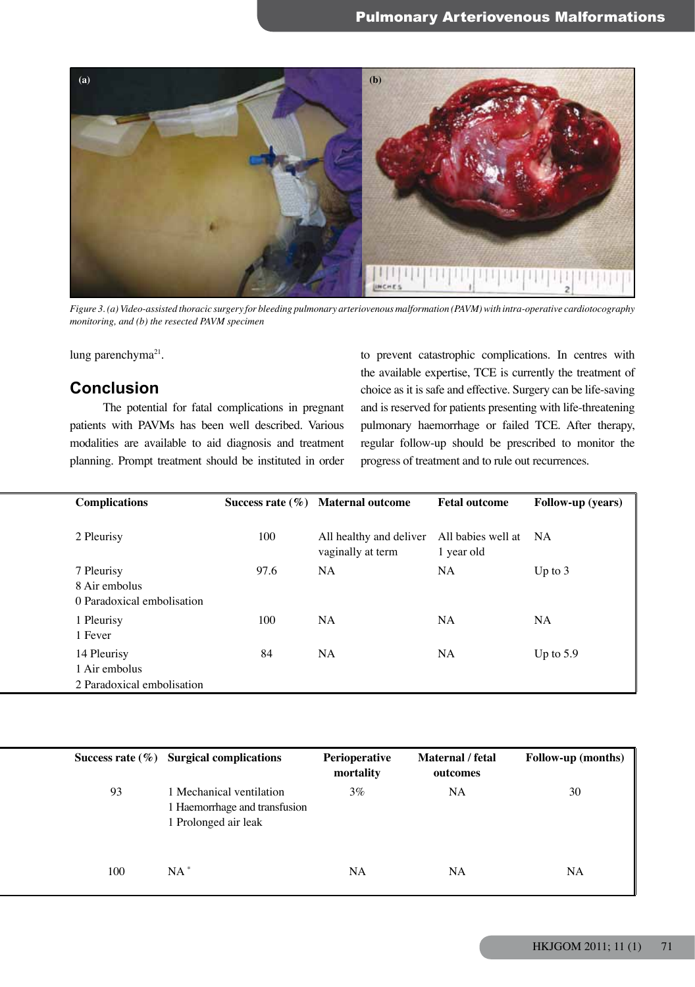

*Figure 3. (a) Video-assisted thoracic surgery for bleeding pulmonary arteriovenous malformation (PAVM) with intra-operative cardiotocography monitoring, and (b) the resected PAVM specimen*

lung parenchyma<sup>21</sup>.

# **Conclusion**

The potential for fatal complications in pregnant patients with PAVMs has been well described. Various modalities are available to aid diagnosis and treatment planning. Prompt treatment should be instituted in order

to prevent catastrophic complications. In centres with the available expertise, TCE is currently the treatment of choice as it is safe and effective. Surgery can be life-saving and is reserved for patients presenting with life-threatening pulmonary haemorrhage or failed TCE. After therapy, regular follow-up should be prescribed to monitor the progress of treatment and to rule out recurrences.

| <b>Complications</b>                                       |      | Success rate $(\%)$ Maternal outcome                               | <b>Fetal outcome</b> | Follow-up (years) |
|------------------------------------------------------------|------|--------------------------------------------------------------------|----------------------|-------------------|
| 2 Pleurisy                                                 | 100  | All healthy and deliver All babies well at NA<br>vaginally at term | 1 year old           |                   |
| 7 Pleurisy<br>8 Air embolus<br>0 Paradoxical embolisation  | 97.6 | <b>NA</b>                                                          | <b>NA</b>            | Up to $3$         |
| 1 Pleurisy<br>1 Fever                                      | 100  | <b>NA</b>                                                          | <b>NA</b>            | <b>NA</b>         |
| 14 Pleurisy<br>1 Air embolus<br>2 Paradoxical embolisation | 84   | <b>NA</b>                                                          | <b>NA</b>            | Up to 5.9         |

|     | Success rate $(\%)$ Surgical complications                                        | Perioperative<br>mortality | Maternal / fetal<br>outcomes | Follow-up (months) |
|-----|-----------------------------------------------------------------------------------|----------------------------|------------------------------|--------------------|
| 93  | 1 Mechanical ventilation<br>1 Haemorrhage and transfusion<br>1 Prolonged air leak | $3\%$                      | NA                           | 30                 |
| 100 | <b>NA</b>                                                                         | <b>NA</b>                  | NA                           | <b>NA</b>          |